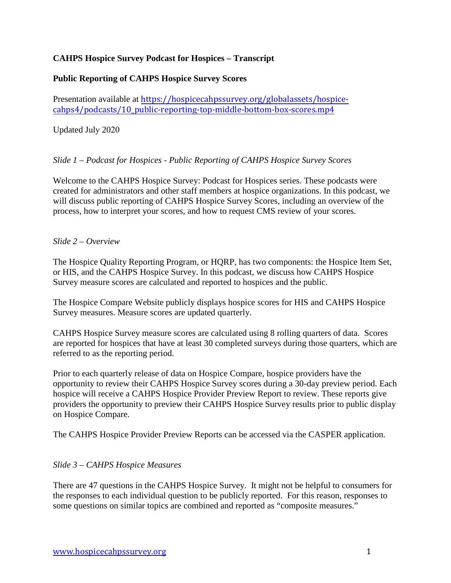## **CAHPS Hospice Survey Podcast for Hospices – Transcript**

## **Public Reporting of CAHPS Hospice Survey Scores**

Presentation available at [https://hospicecahpssurvey.org/globalassets/hospice](https://hospicecahpssurvey.org/globalassets/hospice-cahps/podcasts/10_public-reporting-top-middle-bottom-box-scores.mp4)cahps4[/podcasts/10\\_public-reporting-top-middle-bottom-box-scores.mp4](https://hospicecahpssurvey.org/globalassets/hospice-cahps/podcasts/10_public-reporting-top-middle-bottom-box-scores.mp4)

Updated July 2020

# *Slide 1 – Podcast for Hospices - Public Reporting of CAHPS Hospice Survey Scores*

Welcome to the CAHPS Hospice Survey: Podcast for Hospices series. These podcasts were created for administrators and other staff members at hospice organizations. In this podcast, we will discuss public reporting of CAHPS Hospice Survey Scores, including an overview of the process, how to interpret your scores, and how to request CMS review of your scores.

### *Slide 2 – Overview*

The Hospice Quality Reporting Program, or HQRP, has two components: the Hospice Item Set, or HIS, and the CAHPS Hospice Survey. In this podcast, we discuss how CAHPS Hospice Survey measure scores are calculated and reported to hospices and the public.

The Hospice Compare Website publicly displays hospice scores for HIS and CAHPS Hospice Survey measures. Measure scores are updated quarterly.

CAHPS Hospice Survey measure scores are calculated using 8 rolling quarters of data. Scores are reported for hospices that have at least 30 completed surveys during those quarters, which are referred to as the reporting period.

Prior to each quarterly release of data on Hospice Compare, hospice providers have the opportunity to review their CAHPS Hospice Survey scores during a 30-day preview period. Each hospice will receive a CAHPS Hospice Provider Preview Report to review. These reports give providers the opportunity to preview their CAHPS Hospice Survey results prior to public display on Hospice Compare.

The CAHPS Hospice Provider Preview Reports can be accessed via the CASPER application.

### *Slide 3 – CAHPS Hospice Measures*

There are 47 questions in the CAHPS Hospice Survey. It might not be helpful to consumers for the responses to each individual question to be publicly reported. For this reason, responses to some questions on similar topics are combined and reported as "composite measures."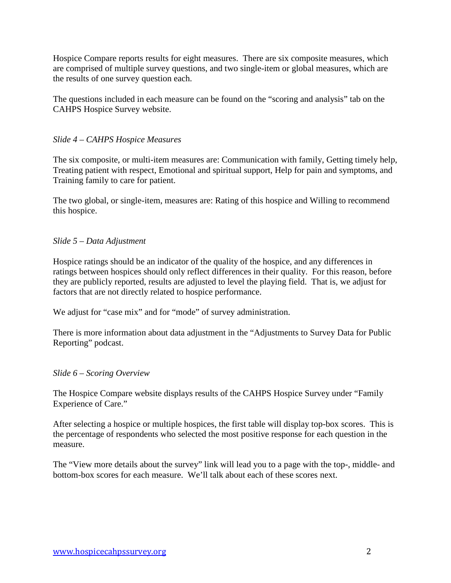Hospice Compare reports results for eight measures. There are six composite measures, which are comprised of multiple survey questions, and two single-item or global measures, which are the results of one survey question each.

The questions included in each measure can be found on the "scoring and analysis" tab on the CAHPS Hospice Survey website.

### *Slide 4 – CAHPS Hospice Measures*

The six composite, or multi-item measures are: Communication with family, Getting timely help, Treating patient with respect, Emotional and spiritual support, Help for pain and symptoms, and Training family to care for patient.

The two global, or single-item, measures are: Rating of this hospice and Willing to recommend this hospice.

# *Slide 5 – Data Adjustment*

Hospice ratings should be an indicator of the quality of the hospice, and any differences in ratings between hospices should only reflect differences in their quality. For this reason, before they are publicly reported, results are adjusted to level the playing field. That is, we adjust for factors that are not directly related to hospice performance.

We adjust for "case mix" and for "mode" of survey administration.

There is more information about data adjustment in the "Adjustments to Survey Data for Public Reporting" podcast.

### *Slide 6 – Scoring Overview*

The Hospice Compare website displays results of the CAHPS Hospice Survey under "Family Experience of Care."

After selecting a hospice or multiple hospices, the first table will display top-box scores. This is the percentage of respondents who selected the most positive response for each question in the measure.

The "View more details about the survey" link will lead you to a page with the top-, middle- and bottom-box scores for each measure. We'll talk about each of these scores next.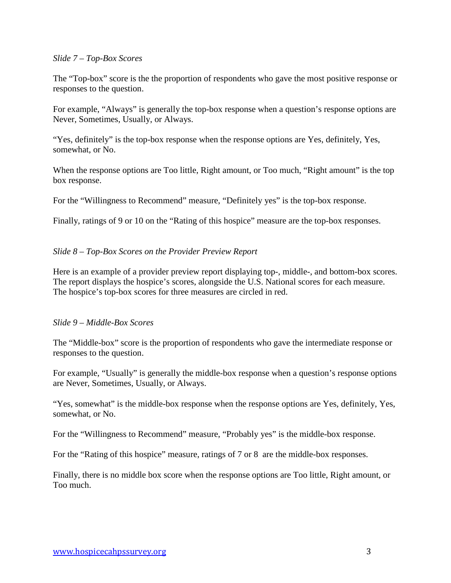#### *Slide 7 – Top-Box Scores*

The "Top-box" score is the the proportion of respondents who gave the most positive response or responses to the question.

For example, "Always" is generally the top-box response when a question's response options are Never, Sometimes, Usually, or Always.

"Yes, definitely" is the top-box response when the response options are Yes, definitely, Yes, somewhat, or No.

When the response options are Too little, Right amount, or Too much, "Right amount" is the top box response.

For the "Willingness to Recommend" measure, "Definitely yes" is the top-box response.

Finally, ratings of 9 or 10 on the "Rating of this hospice" measure are the top-box responses.

#### *Slide 8 – Top-Box Scores on the Provider Preview Report*

Here is an example of a provider preview report displaying top-, middle-, and bottom-box scores. The report displays the hospice's scores, alongside the U.S. National scores for each measure. The hospice's top-box scores for three measures are circled in red.

#### *Slide 9 – Middle-Box Scores*

The "Middle-box" score is the proportion of respondents who gave the intermediate response or responses to the question.

For example, "Usually" is generally the middle-box response when a question's response options are Never, Sometimes, Usually, or Always.

"Yes, somewhat" is the middle-box response when the response options are Yes, definitely, Yes, somewhat, or No.

For the "Willingness to Recommend" measure, "Probably yes" is the middle-box response.

For the "Rating of this hospice" measure, ratings of 7 or 8 are the middle-box responses.

Finally, there is no middle box score when the response options are Too little, Right amount, or Too much.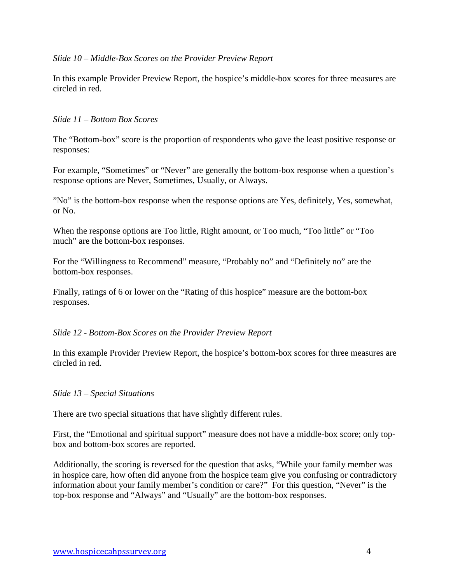### *Slide 10 – Middle-Box Scores on the Provider Preview Report*

In this example Provider Preview Report, the hospice's middle-box scores for three measures are circled in red.

### *Slide 11 – Bottom Box Scores*

The "Bottom-box" score is the proportion of respondents who gave the least positive response or responses:

For example, "Sometimes" or "Never" are generally the bottom-box response when a question's response options are Never, Sometimes, Usually, or Always.

"No" is the bottom-box response when the response options are Yes, definitely, Yes, somewhat, or No.

When the response options are Too little, Right amount, or Too much, "Too little" or "Too much" are the bottom-box responses.

For the "Willingness to Recommend" measure, "Probably no" and "Definitely no" are the bottom-box responses.

Finally, ratings of 6 or lower on the "Rating of this hospice" measure are the bottom-box responses.

#### *Slide 12 - Bottom-Box Scores on the Provider Preview Report*

In this example Provider Preview Report, the hospice's bottom-box scores for three measures are circled in red.

#### *Slide 13 – Special Situations*

There are two special situations that have slightly different rules.

First, the "Emotional and spiritual support" measure does not have a middle-box score; only topbox and bottom-box scores are reported.

Additionally, the scoring is reversed for the question that asks, "While your family member was in hospice care, how often did anyone from the hospice team give you confusing or contradictory information about your family member's condition or care?" For this question, "Never" is the top-box response and "Always" and "Usually" are the bottom-box responses.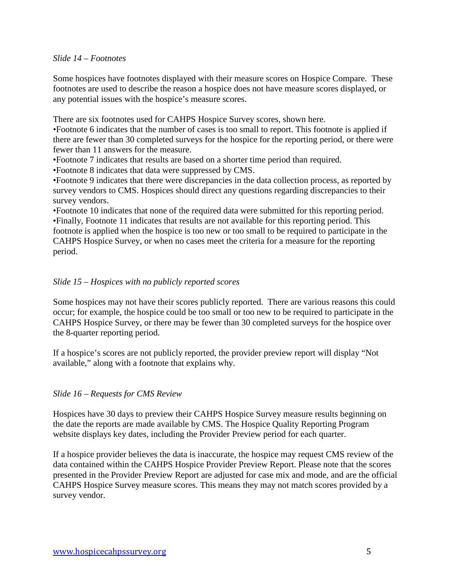#### *Slide 14 – Footnotes*

Some hospices have footnotes displayed with their measure scores on Hospice Compare. These footnotes are used to describe the reason a hospice does not have measure scores displayed, or any potential issues with the hospice's measure scores.

There are six footnotes used for CAHPS Hospice Survey scores, shown here.

•Footnote 6 indicates that the number of cases is too small to report. This footnote is applied if there are fewer than 30 completed surveys for the hospice for the reporting period, or there were fewer than 11 answers for the measure.

•Footnote 7 indicates that results are based on a shorter time period than required.

•Footnote 8 indicates that data were suppressed by CMS.

•Footnote 9 indicates that there were discrepancies in the data collection process, as reported by survey vendors to CMS. Hospices should direct any questions regarding discrepancies to their survey vendors.

•Footnote 10 indicates that none of the required data were submitted for this reporting period. •Finally, Footnote 11 indicates that results are not available for this reporting period. This footnote is applied when the hospice is too new or too small to be required to participate in the CAHPS Hospice Survey, or when no cases meet the criteria for a measure for the reporting period.

### *Slide 15 – Hospices with no publicly reported scores*

Some hospices may not have their scores publicly reported. There are various reasons this could occur; for example, the hospice could be too small or too new to be required to participate in the CAHPS Hospice Survey, or there may be fewer than 30 completed surveys for the hospice over the 8-quarter reporting period.

If a hospice's scores are not publicly reported, the provider preview report will display "Not available," along with a footnote that explains why.

### *Slide 16 – Requests for CMS Review*

Hospices have 30 days to preview their CAHPS Hospice Survey measure results beginning on the date the reports are made available by CMS. The Hospice Quality Reporting Program website displays key dates, including the Provider Preview period for each quarter.

If a hospice provider believes the data is inaccurate, the hospice may request CMS review of the data contained within the CAHPS Hospice Provider Preview Report. Please note that the scores presented in the Provider Preview Report are adjusted for case mix and mode, and are the official CAHPS Hospice Survey measure scores. This means they may not match scores provided by a survey vendor.